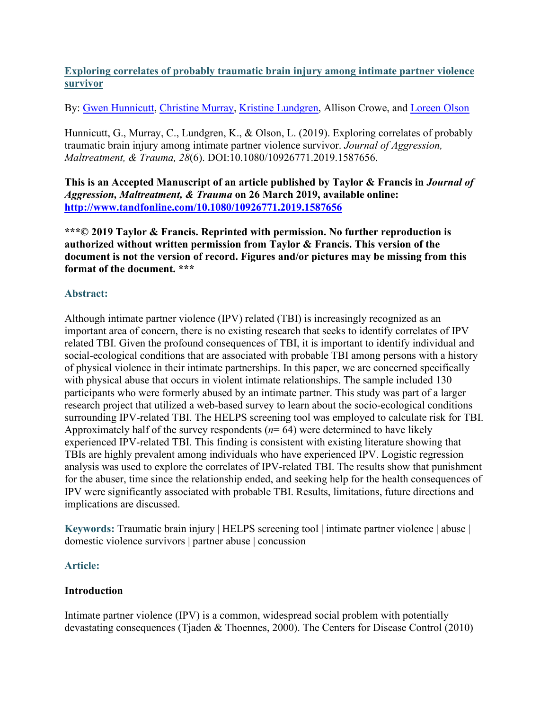# **Exploring correlates of probably traumatic brain injury among intimate partner violence survivor**

By: [Gwen Hunnicutt,](http://libres.uncg.edu/ir/uncg/clist.aspx?id=444) [Christine Murray,](http://libres.uncg.edu/ir/uncg/clist.aspx?id=894) [Kristine Lundgren,](http://libres.uncg.edu/ir/uncg/clist.aspx?id=1429) Allison Crowe, and [Loreen Olson](http://libres.uncg.edu/ir/uncg/clist.aspx?id=4771)

Hunnicutt, G., Murray, C., Lundgren, K., & Olson, L. (2019). Exploring correlates of probably traumatic brain injury among intimate partner violence survivor. *Journal of Aggression, Maltreatment, & Trauma, 28*(6). DOI:10.1080/10926771.2019.1587656.

**This is an Accepted Manuscript of an article published by Taylor & Francis in** *Journal of Aggression, Maltreatment, & Trauma* **on 26 March 2019, available online: <http://www.tandfonline.com/10.1080/10926771.2019.1587656>**

**\*\*\*© 2019 Taylor & Francis. Reprinted with permission. No further reproduction is authorized without written permission from Taylor & Francis. This version of the document is not the version of record. Figures and/or pictures may be missing from this format of the document. \*\*\***

# **Abstract:**

Although intimate partner violence (IPV) related (TBI) is increasingly recognized as an important area of concern, there is no existing research that seeks to identify correlates of IPV related TBI. Given the profound consequences of TBI, it is important to identify individual and social-ecological conditions that are associated with probable TBI among persons with a history of physical violence in their intimate partnerships. In this paper, we are concerned specifically with physical abuse that occurs in violent intimate relationships. The sample included 130 participants who were formerly abused by an intimate partner. This study was part of a larger research project that utilized a web-based survey to learn about the socio-ecological conditions surrounding IPV-related TBI. The HELPS screening tool was employed to calculate risk for TBI. Approximately half of the survey respondents  $(n=64)$  were determined to have likely experienced IPV-related TBI. This finding is consistent with existing literature showing that TBIs are highly prevalent among individuals who have experienced IPV. Logistic regression analysis was used to explore the correlates of IPV-related TBI. The results show that punishment for the abuser, time since the relationship ended, and seeking help for the health consequences of IPV were significantly associated with probable TBI. Results, limitations, future directions and implications are discussed.

**Keywords:** Traumatic brain injury | HELPS screening tool | intimate partner violence | abuse | domestic violence survivors | partner abuse | concussion

## **Article:**

## **Introduction**

Intimate partner violence (IPV) is a common, widespread social problem with potentially devastating consequences (Tjaden & Thoennes, 2000). The Centers for Disease Control (2010)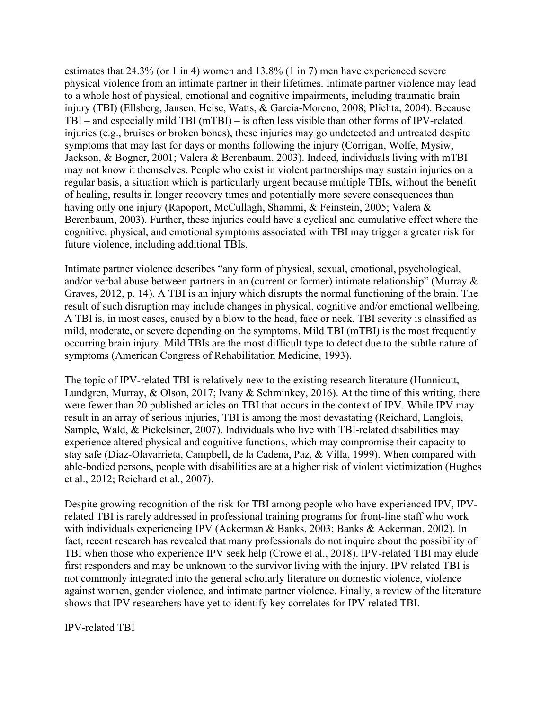estimates that  $24.3\%$  (or 1 in 4) women and  $13.8\%$  (1 in 7) men have experienced severe physical violence from an intimate partner in their lifetimes. Intimate partner violence may lead to a whole host of physical, emotional and cognitive impairments, including traumatic brain injury (TBI) (Ellsberg, Jansen, Heise, Watts, & Garcia-Moreno, 2008; Plichta, 2004). Because TBI – and especially mild TBI (mTBI) – is often less visible than other forms of IPV-related injuries (e.g., bruises or broken bones), these injuries may go undetected and untreated despite symptoms that may last for days or months following the injury (Corrigan, Wolfe, Mysiw, Jackson, & Bogner, 2001; Valera & Berenbaum, 2003). Indeed, individuals living with mTBI may not know it themselves. People who exist in violent partnerships may sustain injuries on a regular basis, a situation which is particularly urgent because multiple TBIs, without the benefit of healing, results in longer recovery times and potentially more severe consequences than having only one injury (Rapoport, McCullagh, Shammi, & Feinstein, 2005; Valera & Berenbaum, 2003). Further, these injuries could have a cyclical and cumulative effect where the cognitive, physical, and emotional symptoms associated with TBI may trigger a greater risk for future violence, including additional TBIs.

Intimate partner violence describes "any form of physical, sexual, emotional, psychological, and/or verbal abuse between partners in an (current or former) intimate relationship" (Murray & Graves, 2012, p. 14). A TBI is an injury which disrupts the normal functioning of the brain. The result of such disruption may include changes in physical, cognitive and/or emotional wellbeing. A TBI is, in most cases, caused by a blow to the head, face or neck. TBI severity is classified as mild, moderate, or severe depending on the symptoms. Mild TBI (mTBI) is the most frequently occurring brain injury. Mild TBIs are the most difficult type to detect due to the subtle nature of symptoms (American Congress of Rehabilitation Medicine, 1993).

The topic of IPV-related TBI is relatively new to the existing research literature (Hunnicutt, Lundgren, Murray, & Olson, 2017; Ivany & Schminkey, 2016). At the time of this writing, there were fewer than 20 published articles on TBI that occurs in the context of IPV. While IPV may result in an array of serious injuries, TBI is among the most devastating (Reichard, Langlois, Sample, Wald, & Pickelsiner, 2007). Individuals who live with TBI-related disabilities may experience altered physical and cognitive functions, which may compromise their capacity to stay safe (Diaz-Olavarrieta, Campbell, de la Cadena, Paz, & Villa, 1999). When compared with able-bodied persons, people with disabilities are at a higher risk of violent victimization (Hughes et al., 2012; Reichard et al., 2007).

Despite growing recognition of the risk for TBI among people who have experienced IPV, IPVrelated TBI is rarely addressed in professional training programs for front-line staff who work with individuals experiencing IPV (Ackerman & Banks, 2003; Banks & Ackerman, 2002). In fact, recent research has revealed that many professionals do not inquire about the possibility of TBI when those who experience IPV seek help (Crowe et al., 2018). IPV-related TBI may elude first responders and may be unknown to the survivor living with the injury. IPV related TBI is not commonly integrated into the general scholarly literature on domestic violence, violence against women, gender violence, and intimate partner violence. Finally, a review of the literature shows that IPV researchers have yet to identify key correlates for IPV related TBI.

IPV-related TBI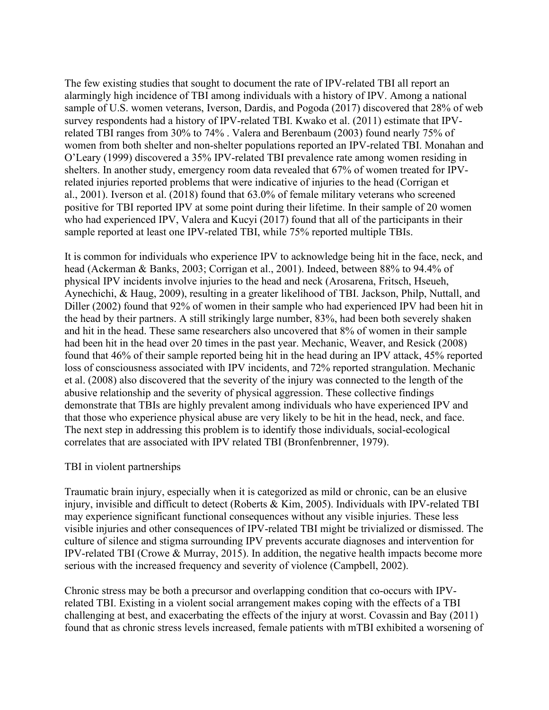The few existing studies that sought to document the rate of IPV-related TBI all report an alarmingly high incidence of TBI among individuals with a history of IPV. Among a national sample of U.S. women veterans, Iverson, Dardis, and Pogoda (2017) discovered that 28% of web survey respondents had a history of IPV-related TBI. Kwako et al. (2011) estimate that IPVrelated TBI ranges from 30% to 74% . Valera and Berenbaum (2003) found nearly 75% of women from both shelter and non-shelter populations reported an IPV-related TBI. Monahan and O'Leary (1999) discovered a 35% IPV-related TBI prevalence rate among women residing in shelters. In another study, emergency room data revealed that 67% of women treated for IPVrelated injuries reported problems that were indicative of injuries to the head (Corrigan et al., 2001). Iverson et al. (2018) found that 63.0% of female military veterans who screened positive for TBI reported IPV at some point during their lifetime. In their sample of 20 women who had experienced IPV, Valera and Kucyi (2017) found that all of the participants in their sample reported at least one IPV-related TBI, while 75% reported multiple TBIs.

It is common for individuals who experience IPV to acknowledge being hit in the face, neck, and head (Ackerman & Banks, 2003; Corrigan et al., 2001). Indeed, between 88% to 94.4% of physical IPV incidents involve injuries to the head and neck (Arosarena, Fritsch, Hseueh, Aynechichi, & Haug, 2009), resulting in a greater likelihood of TBI. Jackson, Philp, Nuttall, and Diller (2002) found that 92% of women in their sample who had experienced IPV had been hit in the head by their partners. A still strikingly large number, 83%, had been both severely shaken and hit in the head. These same researchers also uncovered that 8% of women in their sample had been hit in the head over 20 times in the past year. Mechanic, Weaver, and Resick (2008) found that 46% of their sample reported being hit in the head during an IPV attack, 45% reported loss of consciousness associated with IPV incidents, and 72% reported strangulation. Mechanic et al. (2008) also discovered that the severity of the injury was connected to the length of the abusive relationship and the severity of physical aggression. These collective findings demonstrate that TBIs are highly prevalent among individuals who have experienced IPV and that those who experience physical abuse are very likely to be hit in the head, neck, and face. The next step in addressing this problem is to identify those individuals, social-ecological correlates that are associated with IPV related TBI (Bronfenbrenner, 1979).

### TBI in violent partnerships

Traumatic brain injury, especially when it is categorized as mild or chronic, can be an elusive injury, invisible and difficult to detect (Roberts & Kim, 2005). Individuals with IPV-related TBI may experience significant functional consequences without any visible injuries. These less visible injuries and other consequences of IPV-related TBI might be trivialized or dismissed. The culture of silence and stigma surrounding IPV prevents accurate diagnoses and intervention for IPV-related TBI (Crowe & Murray, 2015). In addition, the negative health impacts become more serious with the increased frequency and severity of violence (Campbell, 2002).

Chronic stress may be both a precursor and overlapping condition that co-occurs with IPVrelated TBI. Existing in a violent social arrangement makes coping with the effects of a TBI challenging at best, and exacerbating the effects of the injury at worst. Covassin and Bay (2011) found that as chronic stress levels increased, female patients with mTBI exhibited a worsening of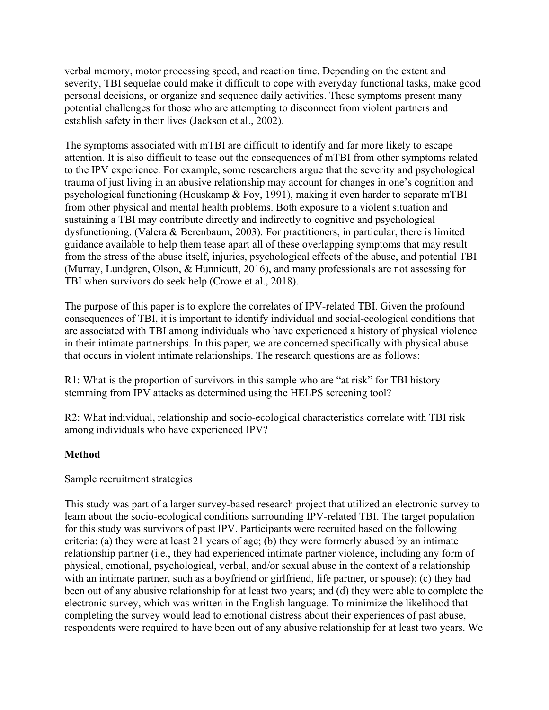verbal memory, motor processing speed, and reaction time. Depending on the extent and severity, TBI sequelae could make it difficult to cope with everyday functional tasks, make good personal decisions, or organize and sequence daily activities. These symptoms present many potential challenges for those who are attempting to disconnect from violent partners and establish safety in their lives (Jackson et al., 2002).

The symptoms associated with mTBI are difficult to identify and far more likely to escape attention. It is also difficult to tease out the consequences of mTBI from other symptoms related to the IPV experience. For example, some researchers argue that the severity and psychological trauma of just living in an abusive relationship may account for changes in one's cognition and psychological functioning (Houskamp & Foy, 1991), making it even harder to separate mTBI from other physical and mental health problems. Both exposure to a violent situation and sustaining a TBI may contribute directly and indirectly to cognitive and psychological dysfunctioning. (Valera & Berenbaum, 2003). For practitioners, in particular, there is limited guidance available to help them tease apart all of these overlapping symptoms that may result from the stress of the abuse itself, injuries, psychological effects of the abuse, and potential TBI (Murray, Lundgren, Olson, & Hunnicutt, 2016), and many professionals are not assessing for TBI when survivors do seek help (Crowe et al., 2018).

The purpose of this paper is to explore the correlates of IPV-related TBI. Given the profound consequences of TBI, it is important to identify individual and social-ecological conditions that are associated with TBI among individuals who have experienced a history of physical violence in their intimate partnerships. In this paper, we are concerned specifically with physical abuse that occurs in violent intimate relationships. The research questions are as follows:

R1: What is the proportion of survivors in this sample who are "at risk" for TBI history stemming from IPV attacks as determined using the HELPS screening tool?

R2: What individual, relationship and socio-ecological characteristics correlate with TBI risk among individuals who have experienced IPV?

## **Method**

Sample recruitment strategies

This study was part of a larger survey-based research project that utilized an electronic survey to learn about the socio-ecological conditions surrounding IPV-related TBI. The target population for this study was survivors of past IPV. Participants were recruited based on the following criteria: (a) they were at least 21 years of age; (b) they were formerly abused by an intimate relationship partner (i.e., they had experienced intimate partner violence, including any form of physical, emotional, psychological, verbal, and/or sexual abuse in the context of a relationship with an intimate partner, such as a boyfriend or girlfriend, life partner, or spouse); (c) they had been out of any abusive relationship for at least two years; and (d) they were able to complete the electronic survey, which was written in the English language. To minimize the likelihood that completing the survey would lead to emotional distress about their experiences of past abuse, respondents were required to have been out of any abusive relationship for at least two years. We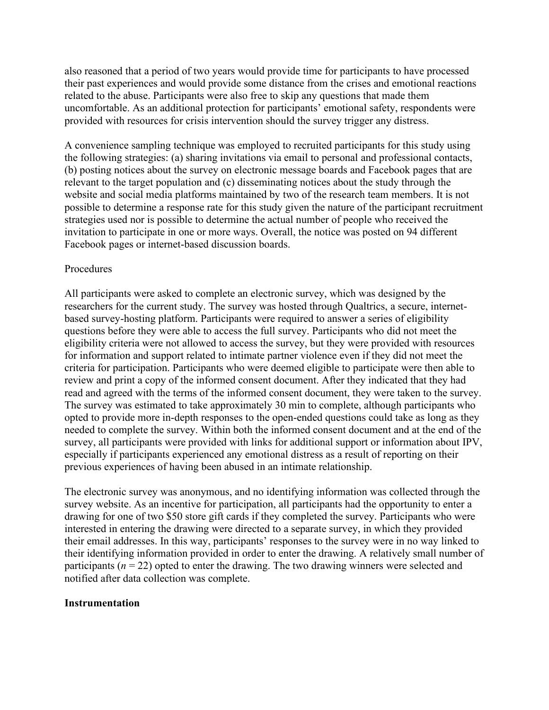also reasoned that a period of two years would provide time for participants to have processed their past experiences and would provide some distance from the crises and emotional reactions related to the abuse. Participants were also free to skip any questions that made them uncomfortable. As an additional protection for participants' emotional safety, respondents were provided with resources for crisis intervention should the survey trigger any distress.

A convenience sampling technique was employed to recruited participants for this study using the following strategies: (a) sharing invitations via email to personal and professional contacts, (b) posting notices about the survey on electronic message boards and Facebook pages that are relevant to the target population and (c) disseminating notices about the study through the website and social media platforms maintained by two of the research team members. It is not possible to determine a response rate for this study given the nature of the participant recruitment strategies used nor is possible to determine the actual number of people who received the invitation to participate in one or more ways. Overall, the notice was posted on 94 different Facebook pages or internet-based discussion boards.

#### Procedures

All participants were asked to complete an electronic survey, which was designed by the researchers for the current study. The survey was hosted through Qualtrics, a secure, internetbased survey-hosting platform. Participants were required to answer a series of eligibility questions before they were able to access the full survey. Participants who did not meet the eligibility criteria were not allowed to access the survey, but they were provided with resources for information and support related to intimate partner violence even if they did not meet the criteria for participation. Participants who were deemed eligible to participate were then able to review and print a copy of the informed consent document. After they indicated that they had read and agreed with the terms of the informed consent document, they were taken to the survey. The survey was estimated to take approximately 30 min to complete, although participants who opted to provide more in-depth responses to the open-ended questions could take as long as they needed to complete the survey. Within both the informed consent document and at the end of the survey, all participants were provided with links for additional support or information about IPV, especially if participants experienced any emotional distress as a result of reporting on their previous experiences of having been abused in an intimate relationship.

The electronic survey was anonymous, and no identifying information was collected through the survey website. As an incentive for participation, all participants had the opportunity to enter a drawing for one of two \$50 store gift cards if they completed the survey. Participants who were interested in entering the drawing were directed to a separate survey, in which they provided their email addresses. In this way, participants' responses to the survey were in no way linked to their identifying information provided in order to enter the drawing. A relatively small number of participants ( $n = 22$ ) opted to enter the drawing. The two drawing winners were selected and notified after data collection was complete.

### **Instrumentation**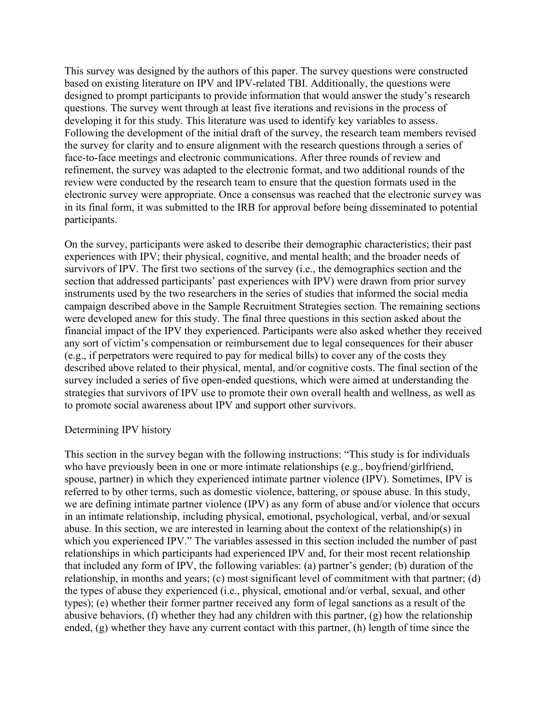This survey was designed by the authors of this paper. The survey questions were constructed based on existing literature on IPV and IPV-related TBI. Additionally, the questions were designed to prompt participants to provide information that would answer the study's research questions. The survey went through at least five iterations and revisions in the process of developing it for this study. This literature was used to identify key variables to assess. Following the development of the initial draft of the survey, the research team members revised the survey for clarity and to ensure alignment with the research questions through a series of face-to-face meetings and electronic communications. After three rounds of review and refinement, the survey was adapted to the electronic format, and two additional rounds of the review were conducted by the research team to ensure that the question formats used in the electronic survey were appropriate. Once a consensus was reached that the electronic survey was in its final form, it was submitted to the IRB for approval before being disseminated to potential participants.

On the survey, participants were asked to describe their demographic characteristics; their past experiences with IPV; their physical, cognitive, and mental health; and the broader needs of survivors of IPV. The first two sections of the survey (i.e., the demographics section and the section that addressed participants' past experiences with IPV) were drawn from prior survey instruments used by the two researchers in the series of studies that informed the social media campaign described above in the Sample Recruitment Strategies section. The remaining sections were developed anew for this study. The final three questions in this section asked about the financial impact of the IPV they experienced. Participants were also asked whether they received any sort of victim's compensation or reimbursement due to legal consequences for their abuser (e.g., if perpetrators were required to pay for medical bills) to cover any of the costs they described above related to their physical, mental, and/or cognitive costs. The final section of the survey included a series of five open-ended questions, which were aimed at understanding the strategies that survivors of IPV use to promote their own overall health and wellness, as well as to promote social awareness about IPV and support other survivors.

#### Determining IPV history

This section in the survey began with the following instructions: "This study is for individuals who have previously been in one or more intimate relationships (e.g., boyfriend/girlfriend, spouse, partner) in which they experienced intimate partner violence (IPV). Sometimes, IPV is referred to by other terms, such as domestic violence, battering, or spouse abuse. In this study, we are defining intimate partner violence (IPV) as any form of abuse and/or violence that occurs in an intimate relationship, including physical, emotional, psychological, verbal, and/or sexual abuse. In this section, we are interested in learning about the context of the relationship(s) in which you experienced IPV." The variables assessed in this section included the number of past relationships in which participants had experienced IPV and, for their most recent relationship that included any form of IPV, the following variables: (a) partner's gender; (b) duration of the relationship, in months and years; (c) most significant level of commitment with that partner; (d) the types of abuse they experienced (i.e., physical, emotional and/or verbal, sexual, and other types); (e) whether their former partner received any form of legal sanctions as a result of the abusive behaviors, (f) whether they had any children with this partner, (g) how the relationship ended, (g) whether they have any current contact with this partner, (h) length of time since the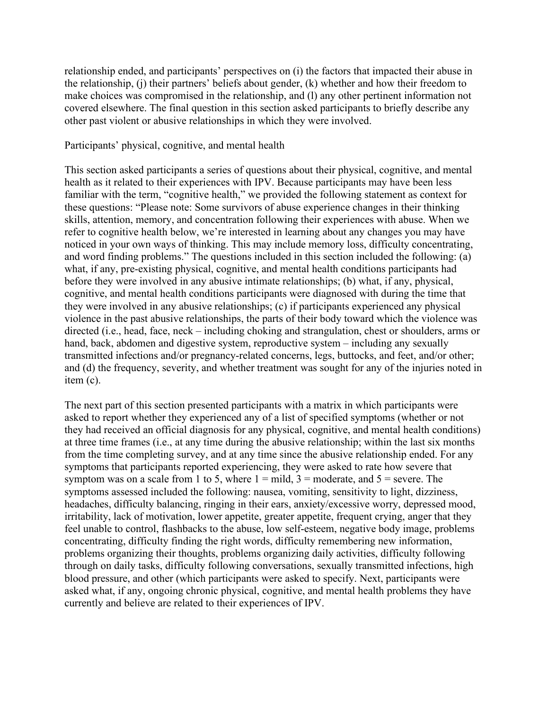relationship ended, and participants' perspectives on (i) the factors that impacted their abuse in the relationship, (j) their partners' beliefs about gender, (k) whether and how their freedom to make choices was compromised in the relationship, and (l) any other pertinent information not covered elsewhere. The final question in this section asked participants to briefly describe any other past violent or abusive relationships in which they were involved.

#### Participants' physical, cognitive, and mental health

This section asked participants a series of questions about their physical, cognitive, and mental health as it related to their experiences with IPV. Because participants may have been less familiar with the term, "cognitive health," we provided the following statement as context for these questions: "Please note: Some survivors of abuse experience changes in their thinking skills, attention, memory, and concentration following their experiences with abuse. When we refer to cognitive health below, we're interested in learning about any changes you may have noticed in your own ways of thinking. This may include memory loss, difficulty concentrating, and word finding problems." The questions included in this section included the following: (a) what, if any, pre-existing physical, cognitive, and mental health conditions participants had before they were involved in any abusive intimate relationships; (b) what, if any, physical, cognitive, and mental health conditions participants were diagnosed with during the time that they were involved in any abusive relationships; (c) if participants experienced any physical violence in the past abusive relationships, the parts of their body toward which the violence was directed (i.e., head, face, neck – including choking and strangulation, chest or shoulders, arms or hand, back, abdomen and digestive system, reproductive system – including any sexually transmitted infections and/or pregnancy-related concerns, legs, buttocks, and feet, and/or other; and (d) the frequency, severity, and whether treatment was sought for any of the injuries noted in item (c).

The next part of this section presented participants with a matrix in which participants were asked to report whether they experienced any of a list of specified symptoms (whether or not they had received an official diagnosis for any physical, cognitive, and mental health conditions) at three time frames (i.e., at any time during the abusive relationship; within the last six months from the time completing survey, and at any time since the abusive relationship ended. For any symptoms that participants reported experiencing, they were asked to rate how severe that symptom was on a scale from 1 to 5, where  $1 = \text{mild}$ ,  $3 = \text{moderate}$ , and  $5 = \text{severe}$ . The symptoms assessed included the following: nausea, vomiting, sensitivity to light, dizziness, headaches, difficulty balancing, ringing in their ears, anxiety/excessive worry, depressed mood, irritability, lack of motivation, lower appetite, greater appetite, frequent crying, anger that they feel unable to control, flashbacks to the abuse, low self-esteem, negative body image, problems concentrating, difficulty finding the right words, difficulty remembering new information, problems organizing their thoughts, problems organizing daily activities, difficulty following through on daily tasks, difficulty following conversations, sexually transmitted infections, high blood pressure, and other (which participants were asked to specify. Next, participants were asked what, if any, ongoing chronic physical, cognitive, and mental health problems they have currently and believe are related to their experiences of IPV.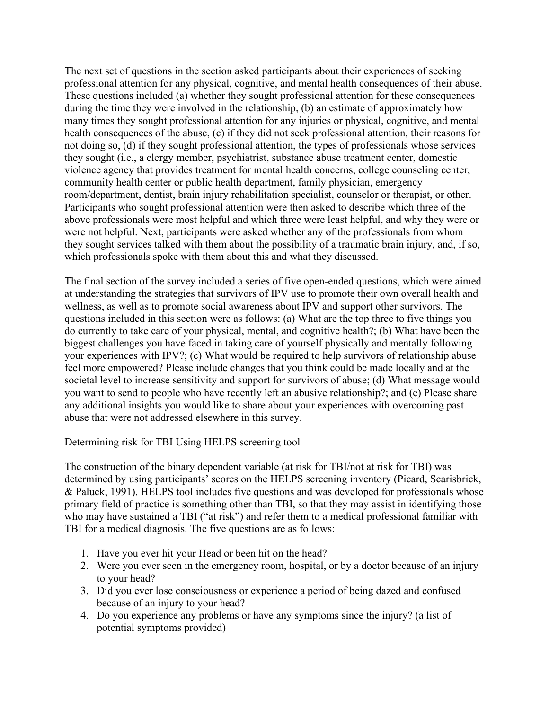The next set of questions in the section asked participants about their experiences of seeking professional attention for any physical, cognitive, and mental health consequences of their abuse. These questions included (a) whether they sought professional attention for these consequences during the time they were involved in the relationship, (b) an estimate of approximately how many times they sought professional attention for any injuries or physical, cognitive, and mental health consequences of the abuse, (c) if they did not seek professional attention, their reasons for not doing so, (d) if they sought professional attention, the types of professionals whose services they sought (i.e., a clergy member, psychiatrist, substance abuse treatment center, domestic violence agency that provides treatment for mental health concerns, college counseling center, community health center or public health department, family physician, emergency room/department, dentist, brain injury rehabilitation specialist, counselor or therapist, or other. Participants who sought professional attention were then asked to describe which three of the above professionals were most helpful and which three were least helpful, and why they were or were not helpful. Next, participants were asked whether any of the professionals from whom they sought services talked with them about the possibility of a traumatic brain injury, and, if so, which professionals spoke with them about this and what they discussed.

The final section of the survey included a series of five open-ended questions, which were aimed at understanding the strategies that survivors of IPV use to promote their own overall health and wellness, as well as to promote social awareness about IPV and support other survivors. The questions included in this section were as follows: (a) What are the top three to five things you do currently to take care of your physical, mental, and cognitive health?; (b) What have been the biggest challenges you have faced in taking care of yourself physically and mentally following your experiences with IPV?; (c) What would be required to help survivors of relationship abuse feel more empowered? Please include changes that you think could be made locally and at the societal level to increase sensitivity and support for survivors of abuse; (d) What message would you want to send to people who have recently left an abusive relationship?; and (e) Please share any additional insights you would like to share about your experiences with overcoming past abuse that were not addressed elsewhere in this survey.

Determining risk for TBI Using HELPS screening tool

The construction of the binary dependent variable (at risk for TBI/not at risk for TBI) was determined by using participants' scores on the HELPS screening inventory (Picard, Scarisbrick, & Paluck, 1991). HELPS tool includes five questions and was developed for professionals whose primary field of practice is something other than TBI, so that they may assist in identifying those who may have sustained a TBI ("at risk") and refer them to a medical professional familiar with TBI for a medical diagnosis. The five questions are as follows:

- 1. Have you ever hit your Head or been hit on the head?
- 2. Were you ever seen in the emergency room, hospital, or by a doctor because of an injury to your head?
- 3. Did you ever lose consciousness or experience a period of being dazed and confused because of an injury to your head?
- 4. Do you experience any problems or have any symptoms since the injury? (a list of potential symptoms provided)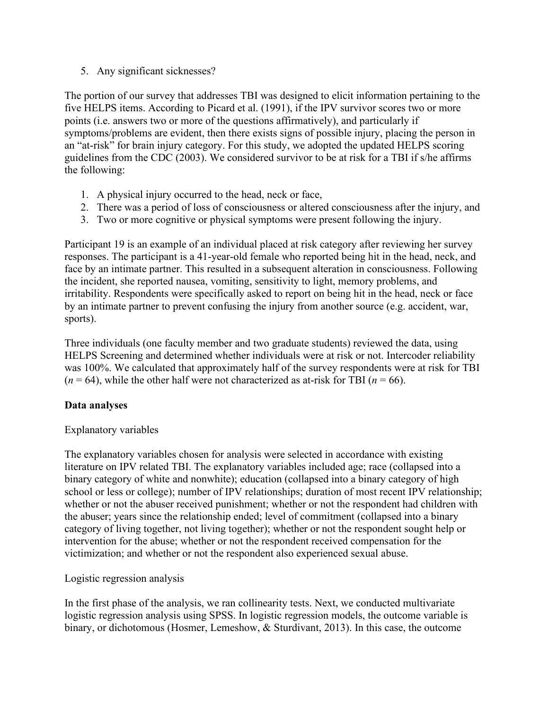5. Any significant sicknesses?

The portion of our survey that addresses TBI was designed to elicit information pertaining to the five HELPS items. According to Picard et al. (1991), if the IPV survivor scores two or more points (i.e. answers two or more of the questions affirmatively), and particularly if symptoms/problems are evident, then there exists signs of possible injury, placing the person in an "at-risk" for brain injury category. For this study, we adopted the updated HELPS scoring guidelines from the CDC (2003). We considered survivor to be at risk for a TBI if s/he affirms the following:

- 1. A physical injury occurred to the head, neck or face,
- 2. There was a period of loss of consciousness or altered consciousness after the injury, and
- 3. Two or more cognitive or physical symptoms were present following the injury.

Participant 19 is an example of an individual placed at risk category after reviewing her survey responses. The participant is a 41-year-old female who reported being hit in the head, neck, and face by an intimate partner. This resulted in a subsequent alteration in consciousness. Following the incident, she reported nausea, vomiting, sensitivity to light, memory problems, and irritability. Respondents were specifically asked to report on being hit in the head, neck or face by an intimate partner to prevent confusing the injury from another source (e.g. accident, war, sports).

Three individuals (one faculty member and two graduate students) reviewed the data, using HELPS Screening and determined whether individuals were at risk or not. Intercoder reliability was 100%. We calculated that approximately half of the survey respondents were at risk for TBI  $(n = 64)$ , while the other half were not characterized as at-risk for TBI  $(n = 66)$ .

## **Data analyses**

## Explanatory variables

The explanatory variables chosen for analysis were selected in accordance with existing literature on IPV related TBI. The explanatory variables included age; race (collapsed into a binary category of white and nonwhite); education (collapsed into a binary category of high school or less or college); number of IPV relationships; duration of most recent IPV relationship; whether or not the abuser received punishment; whether or not the respondent had children with the abuser; years since the relationship ended; level of commitment (collapsed into a binary category of living together, not living together); whether or not the respondent sought help or intervention for the abuse; whether or not the respondent received compensation for the victimization; and whether or not the respondent also experienced sexual abuse.

## Logistic regression analysis

In the first phase of the analysis, we ran collinearity tests. Next, we conducted multivariate logistic regression analysis using SPSS. In logistic regression models, the outcome variable is binary, or dichotomous (Hosmer, Lemeshow, & Sturdivant, 2013). In this case, the outcome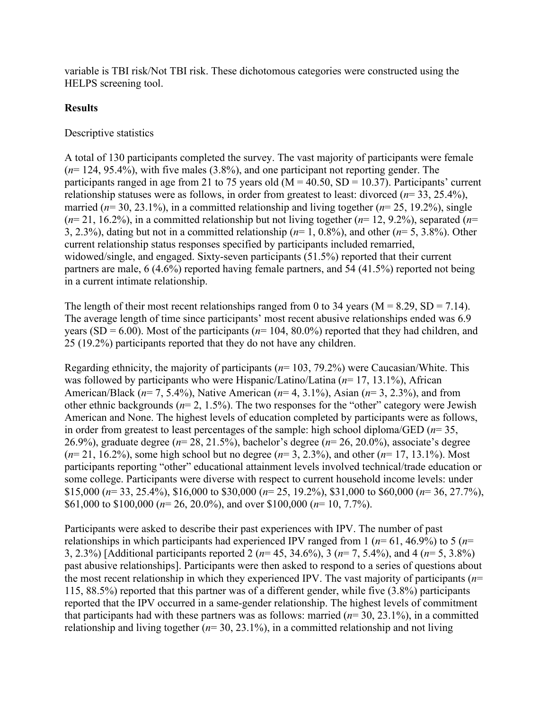variable is TBI risk/Not TBI risk. These dichotomous categories were constructed using the HELPS screening tool.

### **Results**

### Descriptive statistics

A total of 130 participants completed the survey. The vast majority of participants were female (*n*= 124, 95.4%), with five males (3.8%), and one participant not reporting gender. The participants ranged in age from 21 to 75 years old  $(M = 40.50, SD = 10.37)$ . Participants' current relationship statuses were as follows, in order from greatest to least: divorced (*n*= 33, 25.4%), married (*n*= 30, 23.1%), in a committed relationship and living together (*n*= 25, 19.2%), single (*n*= 21, 16.2%), in a committed relationship but not living together (*n*= 12, 9.2%), separated (*n*= 3, 2.3%), dating but not in a committed relationship (*n*= 1, 0.8%), and other (*n*= 5, 3.8%). Other current relationship status responses specified by participants included remarried, widowed/single, and engaged. Sixty-seven participants (51.5%) reported that their current partners are male, 6 (4.6%) reported having female partners, and 54 (41.5%) reported not being in a current intimate relationship.

The length of their most recent relationships ranged from 0 to 34 years ( $M = 8.29$ ,  $SD = 7.14$ ). The average length of time since participants' most recent abusive relationships ended was 6.9 years (SD = 6.00). Most of the participants ( $n=104$ , 80.0%) reported that they had children, and 25 (19.2%) participants reported that they do not have any children.

Regarding ethnicity, the majority of participants (*n*= 103, 79.2%) were Caucasian/White. This was followed by participants who were Hispanic/Latino/Latina (*n*= 17, 13.1%), African American/Black (*n*= 7, 5.4%), Native American (*n*= 4, 3.1%), Asian (*n*= 3, 2.3%), and from other ethnic backgrounds ( $n=2, 1.5\%$ ). The two responses for the "other" category were Jewish American and None. The highest levels of education completed by participants were as follows, in order from greatest to least percentages of the sample: high school diploma/GED (*n*= 35, 26.9%), graduate degree (*n*= 28, 21.5%), bachelor's degree (*n*= 26, 20.0%), associate's degree (*n*= 21, 16.2%), some high school but no degree (*n*= 3, 2.3%), and other (*n*= 17, 13.1%). Most participants reporting "other" educational attainment levels involved technical/trade education or some college. Participants were diverse with respect to current household income levels: under \$15,000 (*n*= 33, 25.4%), \$16,000 to \$30,000 (*n*= 25, 19.2%), \$31,000 to \$60,000 (*n*= 36, 27.7%), \$61,000 to \$100,000 (*n*= 26, 20.0%), and over \$100,000 (*n*= 10, 7.7%).

Participants were asked to describe their past experiences with IPV. The number of past relationships in which participants had experienced IPV ranged from 1 (*n*= 61, 46.9%) to 5 (*n*= 3, 2.3%) [Additional participants reported 2 (*n*= 45, 34.6%), 3 (*n*= 7, 5.4%), and 4 (*n*= 5, 3.8%) past abusive relationships]. Participants were then asked to respond to a series of questions about the most recent relationship in which they experienced IPV. The vast majority of participants (*n*= 115, 88.5%) reported that this partner was of a different gender, while five (3.8%) participants reported that the IPV occurred in a same-gender relationship. The highest levels of commitment that participants had with these partners was as follows: married (*n*= 30, 23.1%), in a committed relationship and living together  $(n=30, 23.1\%)$ , in a committed relationship and not living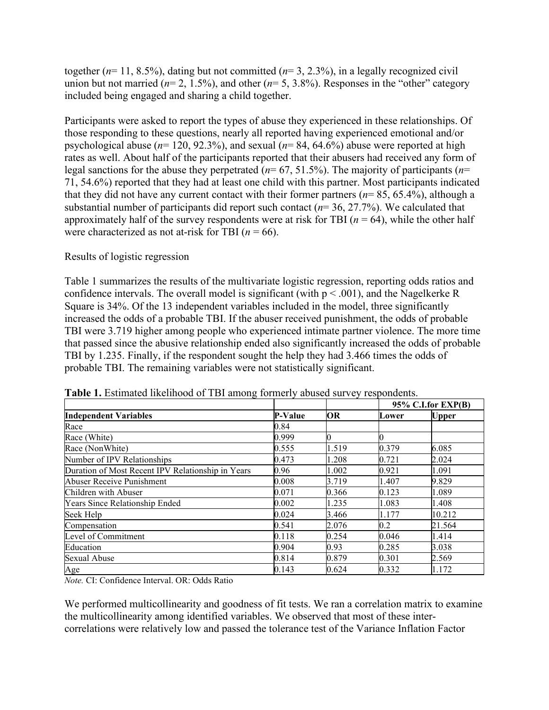together (*n*= 11, 8.5%), dating but not committed (*n*= 3, 2.3%), in a legally recognized civil union but not married ( $n=2, 1.5\%$ ), and other ( $n=5, 3.8\%$ ). Responses in the "other" category included being engaged and sharing a child together.

Participants were asked to report the types of abuse they experienced in these relationships. Of those responding to these questions, nearly all reported having experienced emotional and/or psychological abuse (*n*= 120, 92.3%), and sexual (*n*= 84, 64.6%) abuse were reported at high rates as well. About half of the participants reported that their abusers had received any form of legal sanctions for the abuse they perpetrated (*n*= 67, 51.5%). The majority of participants (*n*= 71, 54.6%) reported that they had at least one child with this partner. Most participants indicated that they did not have any current contact with their former partners (*n*= 85, 65.4%), although a substantial number of participants did report such contact (*n*= 36, 27.7%). We calculated that approximately half of the survey respondents were at risk for TBI (*n* = 64), while the other half were characterized as not at-risk for TBI  $(n = 66)$ .

### Results of logistic regression

Table 1 summarizes the results of the multivariate logistic regression, reporting odds ratios and confidence intervals. The overall model is significant (with  $p < .001$ ), and the Nagelkerke R Square is 34%. Of the 13 independent variables included in the model, three significantly increased the odds of a probable TBI. If the abuser received punishment, the odds of probable TBI were 3.719 higher among people who experienced intimate partner violence. The more time that passed since the abusive relationship ended also significantly increased the odds of probable TBI by 1.235. Finally, if the respondent sought the help they had 3.466 times the odds of probable TBI. The remaining variables were not statistically significant.

| <b>Independent Variables</b>                      | <b>P-Value</b> | <b>OR</b> | 95% C.I.for EXP(B) |              |
|---------------------------------------------------|----------------|-----------|--------------------|--------------|
|                                                   |                |           | Lower              | <b>Upper</b> |
| Race                                              | 0.84           |           |                    |              |
| Race (White)                                      | 0.999          |           | Ю                  |              |
| Race (NonWhite)                                   | 0.555          | 1.519     | 0.379              | 6.085        |
| Number of IPV Relationships                       | 0.473          | 1.208     | 0.721              | 2.024        |
| Duration of Most Recent IPV Relationship in Years | 0.96           | 1.002     | 0.921              | 1.091        |
| Abuser Receive Punishment                         | 0.008          | 3.719     | 1.407              | 9.829        |
| Children with Abuser                              | 0.071          | 0.366     | 0.123              | 1.089        |
| Years Since Relationship Ended                    | 0.002          | 1.235     | 1.083              | 1.408        |
| Seek Help                                         | 0.024          | 3.466     | 1.177              | 10.212       |
| Compensation                                      | 0.541          | 2.076     | 0.2                | 21.564       |
| Level of Commitment                               | 0.118          | 0.254     | 0.046              | 1.414        |
| Education                                         | 0.904          | 0.93      | 0.285              | 3.038        |
| <b>Sexual Abuse</b>                               | 0.814          | 0.879     | 0.301              | 2.569        |
| Age                                               | 0.143          | 0.624     | 0.332              | 1.172        |

**Table 1.** Estimated likelihood of TBI among formerly abused survey respondents.

*Note.* CI: Confidence Interval. OR: Odds Ratio

We performed multicollinearity and goodness of fit tests. We ran a correlation matrix to examine the multicollinearity among identified variables. We observed that most of these intercorrelations were relatively low and passed the tolerance test of the Variance Inflation Factor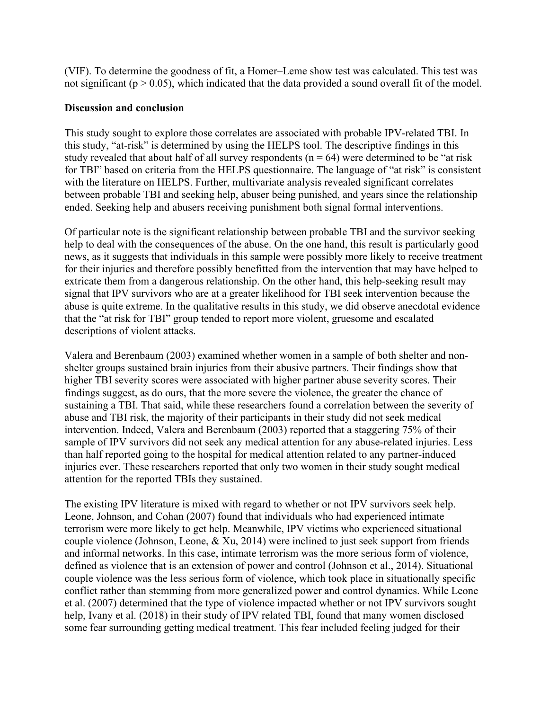(VIF). To determine the goodness of fit, a Homer–Leme show test was calculated. This test was not significant ( $p > 0.05$ ), which indicated that the data provided a sound overall fit of the model.

### **Discussion and conclusion**

This study sought to explore those correlates are associated with probable IPV-related TBI. In this study, "at-risk" is determined by using the HELPS tool. The descriptive findings in this study revealed that about half of all survey respondents ( $n = 64$ ) were determined to be "at risk for TBI" based on criteria from the HELPS questionnaire. The language of "at risk" is consistent with the literature on HELPS. Further, multivariate analysis revealed significant correlates between probable TBI and seeking help, abuser being punished, and years since the relationship ended. Seeking help and abusers receiving punishment both signal formal interventions.

Of particular note is the significant relationship between probable TBI and the survivor seeking help to deal with the consequences of the abuse. On the one hand, this result is particularly good news, as it suggests that individuals in this sample were possibly more likely to receive treatment for their injuries and therefore possibly benefitted from the intervention that may have helped to extricate them from a dangerous relationship. On the other hand, this help-seeking result may signal that IPV survivors who are at a greater likelihood for TBI seek intervention because the abuse is quite extreme. In the qualitative results in this study, we did observe anecdotal evidence that the "at risk for TBI" group tended to report more violent, gruesome and escalated descriptions of violent attacks.

Valera and Berenbaum (2003) examined whether women in a sample of both shelter and nonshelter groups sustained brain injuries from their abusive partners. Their findings show that higher TBI severity scores were associated with higher partner abuse severity scores. Their findings suggest, as do ours, that the more severe the violence, the greater the chance of sustaining a TBI. That said, while these researchers found a correlation between the severity of abuse and TBI risk, the majority of their participants in their study did not seek medical intervention. Indeed, Valera and Berenbaum (2003) reported that a staggering 75% of their sample of IPV survivors did not seek any medical attention for any abuse-related injuries. Less than half reported going to the hospital for medical attention related to any partner-induced injuries ever. These researchers reported that only two women in their study sought medical attention for the reported TBIs they sustained.

The existing IPV literature is mixed with regard to whether or not IPV survivors seek help. Leone, Johnson, and Cohan (2007) found that individuals who had experienced intimate terrorism were more likely to get help. Meanwhile, IPV victims who experienced situational couple violence (Johnson, Leone, & Xu, 2014) were inclined to just seek support from friends and informal networks. In this case, intimate terrorism was the more serious form of violence, defined as violence that is an extension of power and control (Johnson et al., 2014). Situational couple violence was the less serious form of violence, which took place in situationally specific conflict rather than stemming from more generalized power and control dynamics. While Leone et al. (2007) determined that the type of violence impacted whether or not IPV survivors sought help, Ivany et al. (2018) in their study of IPV related TBI, found that many women disclosed some fear surrounding getting medical treatment. This fear included feeling judged for their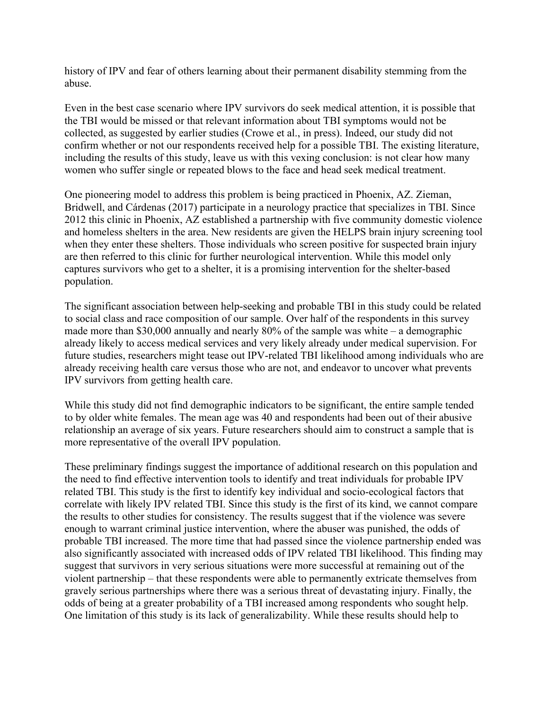history of IPV and fear of others learning about their permanent disability stemming from the abuse.

Even in the best case scenario where IPV survivors do seek medical attention, it is possible that the TBI would be missed or that relevant information about TBI symptoms would not be collected, as suggested by earlier studies (Crowe et al., in press). Indeed, our study did not confirm whether or not our respondents received help for a possible TBI. The existing literature, including the results of this study, leave us with this vexing conclusion: is not clear how many women who suffer single or repeated blows to the face and head seek medical treatment.

One pioneering model to address this problem is being practiced in Phoenix, AZ. Zieman, Bridwell, and Cárdenas (2017) participate in a neurology practice that specializes in TBI. Since 2012 this clinic in Phoenix, AZ established a partnership with five community domestic violence and homeless shelters in the area. New residents are given the HELPS brain injury screening tool when they enter these shelters. Those individuals who screen positive for suspected brain injury are then referred to this clinic for further neurological intervention. While this model only captures survivors who get to a shelter, it is a promising intervention for the shelter-based population.

The significant association between help-seeking and probable TBI in this study could be related to social class and race composition of our sample. Over half of the respondents in this survey made more than \$30,000 annually and nearly 80% of the sample was white – a demographic already likely to access medical services and very likely already under medical supervision. For future studies, researchers might tease out IPV-related TBI likelihood among individuals who are already receiving health care versus those who are not, and endeavor to uncover what prevents IPV survivors from getting health care.

While this study did not find demographic indicators to be significant, the entire sample tended to by older white females. The mean age was 40 and respondents had been out of their abusive relationship an average of six years. Future researchers should aim to construct a sample that is more representative of the overall IPV population.

These preliminary findings suggest the importance of additional research on this population and the need to find effective intervention tools to identify and treat individuals for probable IPV related TBI. This study is the first to identify key individual and socio-ecological factors that correlate with likely IPV related TBI. Since this study is the first of its kind, we cannot compare the results to other studies for consistency. The results suggest that if the violence was severe enough to warrant criminal justice intervention, where the abuser was punished, the odds of probable TBI increased. The more time that had passed since the violence partnership ended was also significantly associated with increased odds of IPV related TBI likelihood. This finding may suggest that survivors in very serious situations were more successful at remaining out of the violent partnership – that these respondents were able to permanently extricate themselves from gravely serious partnerships where there was a serious threat of devastating injury. Finally, the odds of being at a greater probability of a TBI increased among respondents who sought help. One limitation of this study is its lack of generalizability. While these results should help to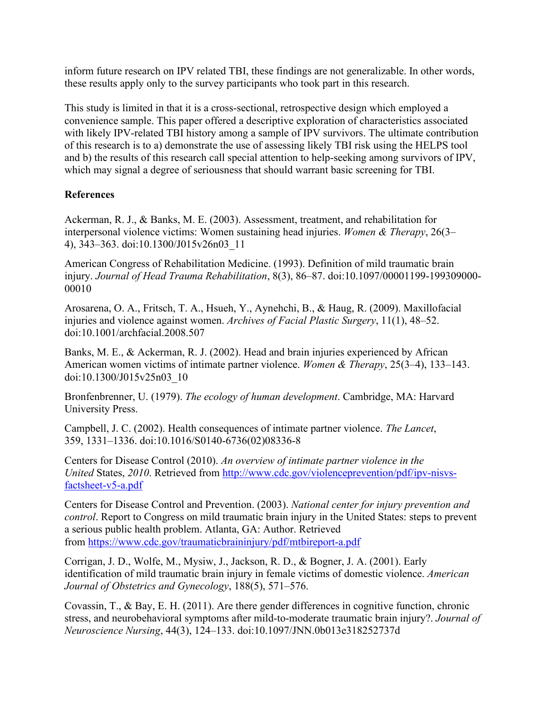inform future research on IPV related TBI, these findings are not generalizable. In other words, these results apply only to the survey participants who took part in this research.

This study is limited in that it is a cross-sectional, retrospective design which employed a convenience sample. This paper offered a descriptive exploration of characteristics associated with likely IPV-related TBI history among a sample of IPV survivors. The ultimate contribution of this research is to a) demonstrate the use of assessing likely TBI risk using the HELPS tool and b) the results of this research call special attention to help-seeking among survivors of IPV, which may signal a degree of seriousness that should warrant basic screening for TBI.

## **References**

Ackerman, R. J., & Banks, M. E. (2003). Assessment, treatment, and rehabilitation for interpersonal violence victims: Women sustaining head injuries. *Women & Therapy*, 26(3– 4), 343–363. doi:10.1300/J015v26n03\_11

American Congress of Rehabilitation Medicine. (1993). Definition of mild traumatic brain injury. *Journal of Head Trauma Rehabilitation*, 8(3), 86–87. doi:10.1097/00001199-199309000- 00010

Arosarena, O. A., Fritsch, T. A., Hsueh, Y., Aynehchi, B., & Haug, R. (2009). Maxillofacial injuries and violence against women. *Archives of Facial Plastic Surgery*, 11(1), 48–52. doi:10.1001/archfacial.2008.507

Banks, M. E., & Ackerman, R. J. (2002). Head and brain injuries experienced by African American women victims of intimate partner violence. *Women & Therapy*, 25(3–4), 133–143. doi:10.1300/J015v25n03\_10

Bronfenbrenner, U. (1979). *The ecology of human development*. Cambridge, MA: Harvard University Press.

Campbell, J. C. (2002). Health consequences of intimate partner violence. *The Lancet*, 359, 1331–1336. doi:10.1016/S0140-6736(02)08336-8

Centers for Disease Control (2010). *An overview of intimate partner violence in the United* States, *2010*. Retrieved from [http://www.cdc.gov/violenceprevention/pdf/ipv-nisvs](http://www.cdc.gov/violenceprevention/pdf/ipv-nisvs-factsheet-v5-a.pdf)[factsheet-v5-a.pdf](http://www.cdc.gov/violenceprevention/pdf/ipv-nisvs-factsheet-v5-a.pdf)

Centers for Disease Control and Prevention. (2003). *National center for injury prevention and control*. Report to Congress on mild traumatic brain injury in the United States: steps to prevent a serious public health problem. Atlanta, GA: Author. Retrieved from <https://www.cdc.gov/traumaticbraininjury/pdf/mtbireport-a.pdf>

Corrigan, J. D., Wolfe, M., Mysiw, J., Jackson, R. D., & Bogner, J. A. (2001). Early identification of mild traumatic brain injury in female victims of domestic violence. *American Journal of Obstetrics and Gynecology*, 188(5), 571–576.

Covassin, T., & Bay, E. H. (2011). Are there gender differences in cognitive function, chronic stress, and neurobehavioral symptoms after mild-to-moderate traumatic brain injury?. *Journal of Neuroscience Nursing*, 44(3), 124–133. doi:10.1097/JNN.0b013e318252737d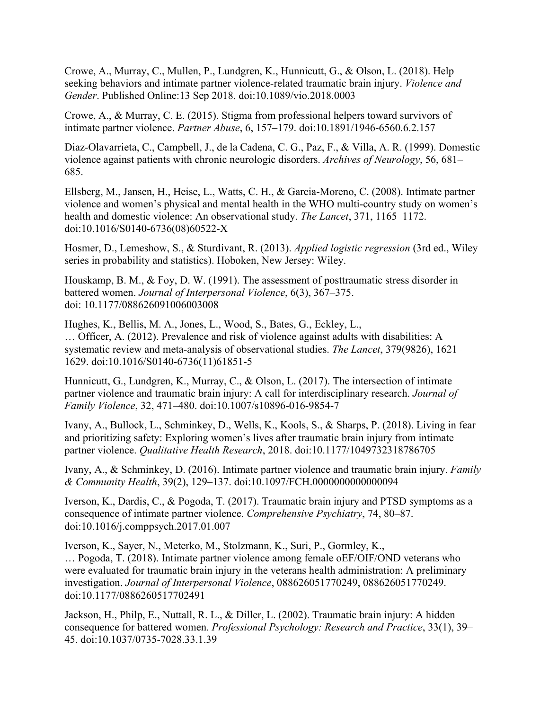Crowe, A., Murray, C., Mullen, P., Lundgren, K., Hunnicutt, G., & Olson, L. (2018). Help seeking behaviors and intimate partner violence-related traumatic brain injury. *Violence and Gender*. Published Online:13 Sep 2018. doi:10.1089/vio.2018.0003

Crowe, A., & Murray, C. E. (2015). Stigma from professional helpers toward survivors of intimate partner violence. *Partner Abuse*, 6, 157–179. doi:10.1891/1946-6560.6.2.157

Diaz-Olavarrieta, C., Campbell, J., de la Cadena, C. G., Paz, F., & Villa, A. R. (1999). Domestic violence against patients with chronic neurologic disorders. *Archives of Neurology*, 56, 681– 685.

Ellsberg, M., Jansen, H., Heise, L., Watts, C. H., & Garcia-Moreno, C. (2008). Intimate partner violence and women's physical and mental health in the WHO multi-country study on women's health and domestic violence: An observational study. *The Lancet*, 371, 1165–1172. doi:10.1016/S0140-6736(08)60522-X

Hosmer, D., Lemeshow, S., & Sturdivant, R. (2013). *Applied logistic regression* (3rd ed., Wiley series in probability and statistics). Hoboken, New Jersey: Wiley.

Houskamp, B. M., & Foy, D. W. (1991). The assessment of posttraumatic stress disorder in battered women. *Journal of Interpersonal Violence*, 6(3), 367–375. doi: 10.1177/088626091006003008

Hughes, K., Bellis, M. A., Jones, L., Wood, S., Bates, G., Eckley, L., … Officer, A. (2012). Prevalence and risk of violence against adults with disabilities: A systematic review and meta-analysis of observational studies. *The Lancet*, 379(9826), 1621– 1629. doi:10.1016/S0140-6736(11)61851-5

Hunnicutt, G., Lundgren, K., Murray, C., & Olson, L. (2017). The intersection of intimate partner violence and traumatic brain injury: A call for interdisciplinary research. *Journal of Family Violence*, 32, 471–480. doi:10.1007/s10896-016-9854-7

Ivany, A., Bullock, L., Schminkey, D., Wells, K., Kools, S., & Sharps, P. (2018). Living in fear and prioritizing safety: Exploring women's lives after traumatic brain injury from intimate partner violence. *Qualitative Health Research*, 2018. doi:10.1177/1049732318786705

Ivany, A., & Schminkey, D. (2016). Intimate partner violence and traumatic brain injury. *Family & Community Health*, 39(2), 129–137. doi:10.1097/FCH.0000000000000094

Iverson, K., Dardis, C., & Pogoda, T. (2017). Traumatic brain injury and PTSD symptoms as a consequence of intimate partner violence. *Comprehensive Psychiatry*, 74, 80–87. doi:10.1016/j.comppsych.2017.01.007

Iverson, K., Sayer, N., Meterko, M., Stolzmann, K., Suri, P., Gormley, K., … Pogoda, T. (2018). Intimate partner violence among female oEF/OIF/OND veterans who were evaluated for traumatic brain injury in the veterans health administration: A preliminary investigation. *Journal of Interpersonal Violence*, 088626051770249, 088626051770249. doi:10.1177/0886260517702491

Jackson, H., Philp, E., Nuttall, R. L., & Diller, L. (2002). Traumatic brain injury: A hidden consequence for battered women. *Professional Psychology: Research and Practice*, 33(1), 39– 45. doi:10.1037/0735-7028.33.1.39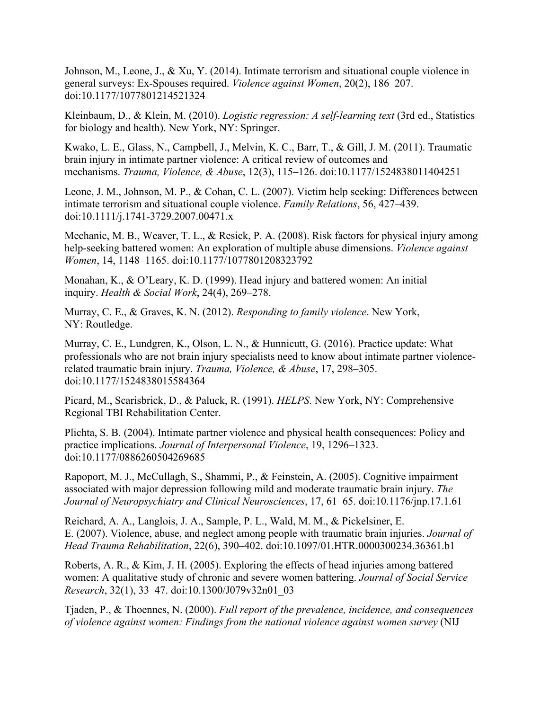Johnson, M., Leone, J., & Xu, Y. (2014). Intimate terrorism and situational couple violence in general surveys: Ex-Spouses required. *Violence against Women*, 20(2), 186–207. doi:10.1177/1077801214521324

Kleinbaum, D., & Klein, M. (2010). *Logistic regression: A self-learning text* (3rd ed., Statistics for biology and health). New York, NY: Springer.

Kwako, L. E., Glass, N., Campbell, J., Melvin, K. C., Barr, T., & Gill, J. M. (2011). Traumatic brain injury in intimate partner violence: A critical review of outcomes and mechanisms. *Trauma, Violence, & Abuse*, 12(3), 115–126. doi:10.1177/1524838011404251

Leone, J. M., Johnson, M. P., & Cohan, C. L. (2007). Victim help seeking: Differences between intimate terrorism and situational couple violence. *Family Relations*, 56, 427–439. doi:10.1111/j.1741-3729.2007.00471.x

Mechanic, M. B., Weaver, T. L., & Resick, P. A. (2008). Risk factors for physical injury among help-seeking battered women: An exploration of multiple abuse dimensions. *Violence against Women*, 14, 1148–1165. doi:10.1177/1077801208323792

Monahan, K., & O'Leary, K. D. (1999). Head injury and battered women: An initial inquiry. *Health & Social Work*, 24(4), 269–278.

Murray, C. E., & Graves, K. N. (2012). *Responding to family violence*. New York, NY: Routledge.

Murray, C. E., Lundgren, K., Olson, L. N., & Hunnicutt, G. (2016). Practice update: What professionals who are not brain injury specialists need to know about intimate partner violencerelated traumatic brain injury. *Trauma, Violence, & Abuse*, 17, 298–305. doi:10.1177/1524838015584364

Picard, M., Scarisbrick, D., & Paluck, R. (1991). *HELPS*. New York, NY: Comprehensive Regional TBI Rehabilitation Center.

Plichta, S. B. (2004). Intimate partner violence and physical health consequences: Policy and practice implications. *Journal of Interpersonal Violence*, 19, 1296–1323. doi:10.1177/0886260504269685

Rapoport, M. J., McCullagh, S., Shammi, P., & Feinstein, A. (2005). Cognitive impairment associated with major depression following mild and moderate traumatic brain injury. *The Journal of Neuropsychiatry and Clinical Neurosciences*, 17, 61–65. doi:10.1176/jnp.17.1.61

Reichard, A. A., Langlois, J. A., Sample, P. L., Wald, M. M., & Pickelsiner, E. E. (2007). Violence, abuse, and neglect among people with traumatic brain injuries. *Journal of Head Trauma Rehabilitation*, 22(6), 390–402. doi:10.1097/01.HTR.0000300234.36361.b1

Roberts, A. R., & Kim, J. H. (2005). Exploring the effects of head injuries among battered women: A qualitative study of chronic and severe women battering. *Journal of Social Service Research*, 32(1), 33–47. doi:10.1300/J079v32n01\_03

Tjaden, P., & Thoennes, N. (2000). *Full report of the prevalence, incidence, and consequences of violence against women: Findings from the national violence against women survey* (NIJ